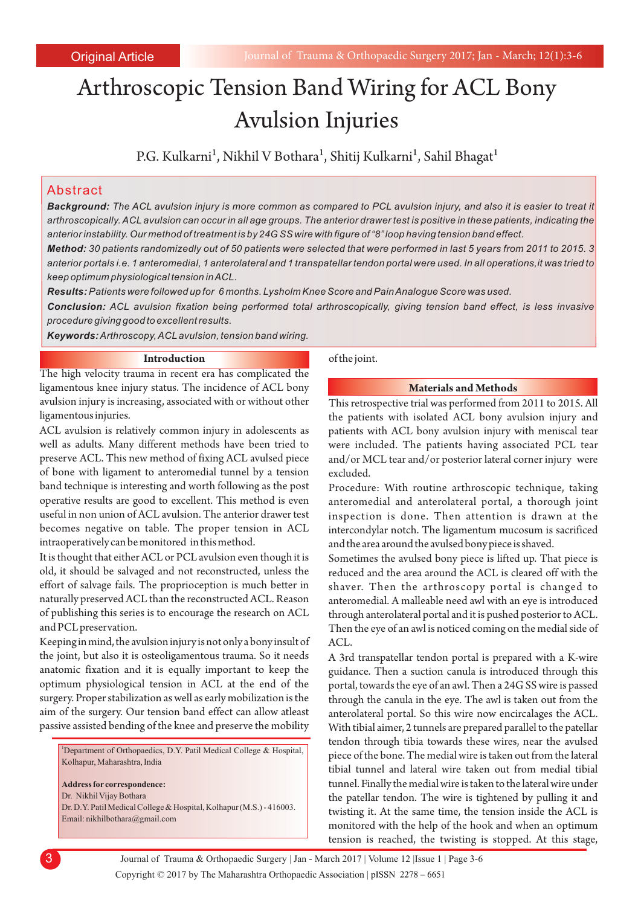# Arthroscopic Tension Band Wiring for ACL Bony Avulsion Injuries

P.G. Kulkarni<sup>1</sup>, Nikhil V Bothara<sup>1</sup>, Shitij Kulkarni<sup>1</sup>, Sahil Bhagat<sup>1</sup>

# Abstract

*Background: The ACL avulsion injury is more common as compared to PCL avulsion injury, and also it is easier to treat it arthroscopically. ACL avulsion can occur in all age groups. The anterior drawer test is positive in these patients, indicating the anterior instability. Our method of treatment is by 24G SS wire with figure of "8" loop having tension band effect.*

*Method: 30 patients randomizedly out of 50 patients were selected that were performed in last 5 years from 2011 to 2015. 3 anterior portals i.e. 1 anteromedial, 1 anterolateral and 1 transpatellar tendon portal were used. In all operations,it was tried to keep optimum physiological tension in ACL.*

*Results:Patients were followed up for 6 months. Lysholm Knee Score and Pain Analogue Score was used. Conclusion: ACL avulsion fixation being performed total arthroscopically, giving tension band effect, is less invasive procedure giving good to excellent results.*

*Keywords:Arthroscopy, ACL avulsion, tension band wiring.*

## **Introduction**

The high velocity trauma in recent era has complicated the ligamentous knee injury status. The incidence of ACL bony avulsion injury is increasing, associated with or without other ligamentous injuries.

ACL avulsion is relatively common injury in adolescents as well as adults. Many different methods have been tried to preserve ACL. This new method of fixing ACL avulsed piece of bone with ligament to anteromedial tunnel by a tension band technique is interesting and worth following as the post operative results are good to excellent. This method is even useful in non union of ACL avulsion. The anterior drawer test becomes negative on table. The proper tension in ACL intraoperatively can be monitored in this method.

It is thought that either ACL or PCL avulsion even though it is old, it should be salvaged and not reconstructed, unless the effort of salvage fails. The proprioception is much better in naturally preserved ACL than the reconstructed ACL. Reason of publishing this series is to encourage the research on ACL and PCL preservation.

Keeping in mind, the avulsion injury is not only a bony insult of the joint, but also it is osteoligamentous trauma. So it needs anatomic fixation and it is equally important to keep the optimum physiological tension in ACL at the end of the surgery. Proper stabilization as well as early mobilization is the aim of the surgery. Our tension band effect can allow atleast passive assisted bending of the knee and preserve the mobility

<sup>1</sup>Department of Orthopaedics, D.Y. Patil Medical College & Hospital, Kolhapur, Maharashtra, India

**Address for correspondence:** 

Dr. Nikhil Vijay Bothara Dr. D.Y. Patil Medical College & Hospital, Kolhapur (M.S.) - 416003.

Email: nikhilbothara@gmail.com

of the joint.

#### **Materials and Methods**

This retrospective trial was performed from 2011 to 2015. All the patients with isolated ACL bony avulsion injury and patients with ACL bony avulsion injury with meniscal tear were included. The patients having associated PCL tear and/or MCL tear and/or posterior lateral corner injury were excluded.

Procedure: With routine arthroscopic technique, taking anteromedial and anterolateral portal, a thorough joint inspection is done. Then attention is drawn at the intercondylar notch. The ligamentum mucosum is sacrificed and the area around the avulsed bony piece is shaved.

Sometimes the avulsed bony piece is lifted up. That piece is reduced and the area around the ACL is cleared off with the shaver. Then the arthroscopy portal is changed to anteromedial. A malleable need awl with an eye is introduced through anterolateral portal and it is pushed posterior to ACL. Then the eye of an awl is noticed coming on the medial side of ACL.

A 3rd transpatellar tendon portal is prepared with a K-wire guidance. Then a suction canula is introduced through this portal, towards the eye of an awl. Then a 24G SS wire is passed through the canula in the eye. The awl is taken out from the anterolateral portal. So this wire now encircalages the ACL. With tibial aimer, 2 tunnels are prepared parallel to the patellar tendon through tibia towards these wires, near the avulsed piece of the bone. The medial wire is taken out from the lateral tibial tunnel and lateral wire taken out from medial tibial tunnel. Finally the medial wire is taken to the lateral wire under the patellar tendon. The wire is tightened by pulling it and twisting it. At the same time, the tension inside the ACL is monitored with the help of the hook and when an optimum tension is reached, the twisting is stopped. At this stage,

Copyright © 2017 by The Maharashtra Orthopaedic Association | 3 Journal of Trauma & Orthopaedic Surgery | Jan - March 2017 | Volume 12 |Issue 1 | Page 3-6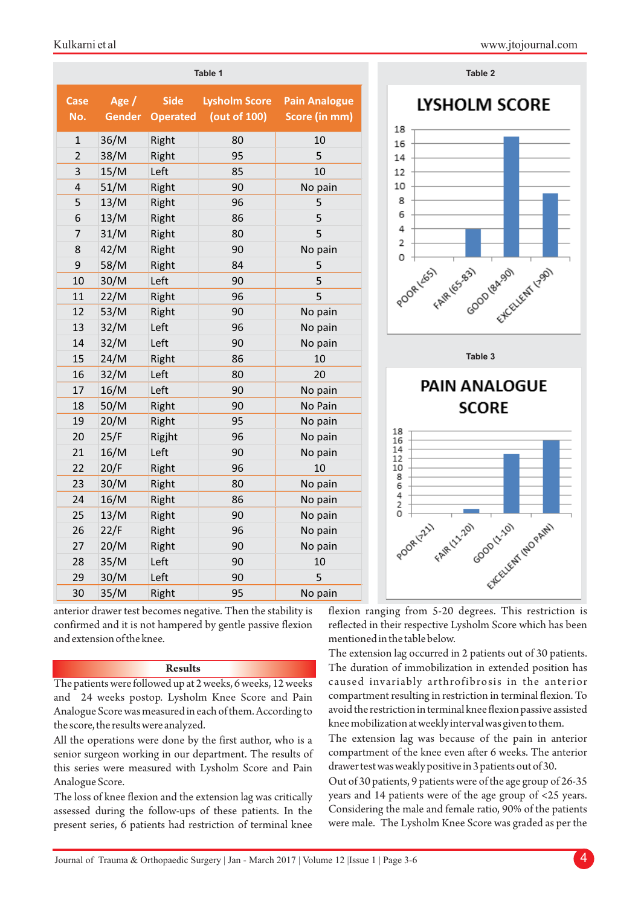| Table 2                  | Table 1                               |                                      |                                       |         |                    |
|--------------------------|---------------------------------------|--------------------------------------|---------------------------------------|---------|--------------------|
| <b>LYSHOLM</b><br>18     | <b>Pain Analogue</b><br>Score (in mm) | <b>Lysholm Score</b><br>(out of 100) | <b>Side</b><br><b>Gender Operated</b> | Age $/$ | <b>Case</b><br>No. |
| 16                       | 10                                    | 80                                   | Right                                 | 36/M    | 1                  |
| 14                       | 5                                     | 95                                   | Right                                 | 38/M    | $\overline{2}$     |
| 12                       | 10                                    | 85                                   | Left                                  | 15/M    | 3                  |
| 10                       | No pain                               | 90                                   | Right                                 | 51/M    | 4                  |
| 8                        | 5                                     | 96                                   | Right                                 | 13/M    | 5                  |
| 6                        | 5                                     | 86                                   | Right                                 | 13/M    | 6                  |
| 4                        | 5                                     | 80                                   | Right                                 | 31/M    | 7                  |
| 2                        | No pain                               | 90                                   | Right                                 | 42/M    | 8                  |
| 0                        | 5                                     | 84                                   | Right                                 | 58/M    | 9                  |
| POORLESS EARTES-831 CODS | 5                                     | 90                                   | Left                                  | 30/M    | 10                 |
|                          | 5                                     | 96                                   | Right                                 | 22/M    | 11                 |
|                          | No pain                               | 90                                   | Right                                 | 53/M    | 12                 |
|                          | No pain                               | 96                                   | Left                                  | 32/M    | 13                 |
|                          | No pain                               | 90                                   | Left                                  | 32/M    | 14                 |
| Table 3                  | 10                                    | 86                                   | Right                                 | 24/M    | 15                 |
|                          | 20                                    | 80                                   | Left                                  | 32/M    | 16                 |
| PAIN ANA                 | No pain                               | 90                                   | Left                                  | 16/M    | 17                 |
| <b>SCOF</b>              | No Pain                               | 90                                   | Right                                 | 50/M    | 18                 |
|                          | No pain                               | 95                                   | Right                                 | 20/M    | 19                 |
| 18<br>16                 | No pain                               | 96                                   | Rigjht                                | 25/F    | 20                 |
| 14<br>12                 | No pain                               | 90                                   | Left                                  | 16/M    | 21                 |
| 10                       | 10                                    | 96                                   | Right                                 | 20/F    | 22                 |
| 8<br>6                   | No pain                               | 80                                   | Right                                 | 30/M    | 23                 |
| 4<br>2                   | No pain                               | 86                                   | Right                                 | 16/M    | 24                 |
| 0                        | No pain                               | 90                                   | Right                                 | 13/M    | 25                 |
| POORLYZLI FAIRIN-201     | No pain                               | 96                                   | Right                                 | 22/F    | 26                 |
|                          | No pain                               | 90                                   | Right                                 | 20/M    | 27                 |
|                          | 10                                    | 90                                   | Left                                  | 35/M    | 28                 |
|                          | 5                                     | 90                                   | Left                                  | 30/M    | 29                 |
|                          | No pain                               | 95                                   | Right                                 | 35/M    | 30                 |
|                          |                                       |                                      |                                       |         |                    |



anterior drawer test becomes negative. Then the stability is confirmed and it is not hampered by gentle passive flexion and extension of the knee.

## **Results**

The patients were followed up at 2 weeks, 6 weeks, 12 weeks and 24 weeks postop. Lysholm Knee Score and Pain Analogue Score was measured in each of them. According to the score, the results were analyzed.

All the operations were done by the first author, who is a senior surgeon working in our department. The results of this series were measured with Lysholm Score and Pain Analogue Score.

The loss of knee flexion and the extension lag was critically assessed during the follow-ups of these patients. In the present series, 6 patients had restriction of terminal knee flexion ranging from 5-20 degrees. This restriction is reflected in their respective Lysholm Score which has been mentioned in the table below.

The extension lag occurred in 2 patients out of 30 patients. The duration of immobilization in extended position has caused invariably arthrofibrosis in the anterior compartment resulting in restriction in terminal flexion. To avoid the restriction in terminal knee flexion passive assisted knee mobilization at weekly interval was given to them.

The extension lag was because of the pain in anterior compartment of the knee even after 6 weeks. The anterior drawer test was weakly positive in 3 patients out of 30.

Out of 30 patients, 9 patients were of the age group of 26-35 years and 14 patients were of the age group of <25 years. Considering the male and female ratio, 90% of the patients were male. The Lysholm Knee Score was graded as per the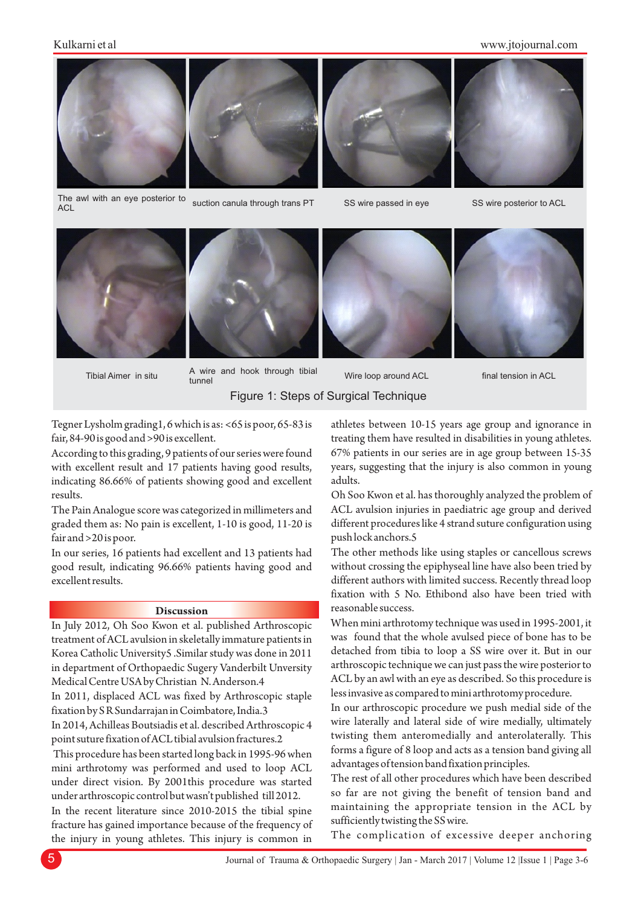# Kulkarni et al

#### www.jtojournal.com





The awl with an eye posterior to **ACL** suction canula through trans PT



SS wire passed in eye













Wire loop around ACL

final tension in ACL

Figure 1: Steps of Surgical Technique

Tegner Lysholm grading1, 6 which is as: <65 is poor, 65-83 is fair, 84-90 is good and >90 is excellent.

According to this grading, 9 patients of our series were found with excellent result and 17 patients having good results, indicating 86.66% of patients showing good and excellent results.

The Pain Analogue score was categorized in millimeters and graded them as: No pain is excellent, 1-10 is good, 11-20 is fair and >20 is poor.

In our series, 16 patients had excellent and 13 patients had good result, indicating 96.66% patients having good and excellent results.

## **Discussion**

In July 2012, Oh Soo Kwon et al. published Arthroscopic treatment of ACL avulsion in skeletally immature patients in Korea Catholic University5 .Similar study was done in 2011 in department of Orthopaedic Sugery Vanderbilt Unversity Medical Centre USA by Christian N. Anderson.4

In 2011, displaced ACL was fixed by Arthroscopic staple fixation by S R Sundarrajan in Coimbatore, India.3

In 2014, Achilleas Boutsiadis et al. described Arthroscopic 4 point suture fixation of ACL tibial avulsion fractures.2

This procedure has been started long back in 1995-96 when mini arthrotomy was performed and used to loop ACL under direct vision. By 2001this procedure was started under arthroscopic control but wasn't published till 2012.

In the recent literature since 2010-2015 the tibial spine fracture has gained importance because of the frequency of the injury in young athletes. This injury is common in

athletes between 10-15 years age group and ignorance in treating them have resulted in disabilities in young athletes. 67% patients in our series are in age group between 15-35 years, suggesting that the injury is also common in young adults.

Oh Soo Kwon et al. has thoroughly analyzed the problem of ACL avulsion injuries in paediatric age group and derived different procedures like 4 strand suture configuration using push lock anchors.5

The other methods like using staples or cancellous screws without crossing the epiphyseal line have also been tried by different authors with limited success. Recently thread loop fixation with 5 No. Ethibond also have been tried with reasonable success.

When mini arthrotomy technique was used in 1995-2001, it was found that the whole avulsed piece of bone has to be detached from tibia to loop a SS wire over it. But in our arthroscopic technique we can just pass the wire posterior to ACL by an awl with an eye as described. So this procedure is less invasive as compared to mini arthrotomy procedure.

In our arthroscopic procedure we push medial side of the wire laterally and lateral side of wire medially, ultimately twisting them anteromedially and anterolaterally. This forms a figure of 8 loop and acts as a tension band giving all advantages of tension band fixation principles.

The rest of all other procedures which have been described so far are not giving the benefit of tension band and maintaining the appropriate tension in the ACL by sufficiently twisting the SS wire.

The complication of excessive deeper anchoring